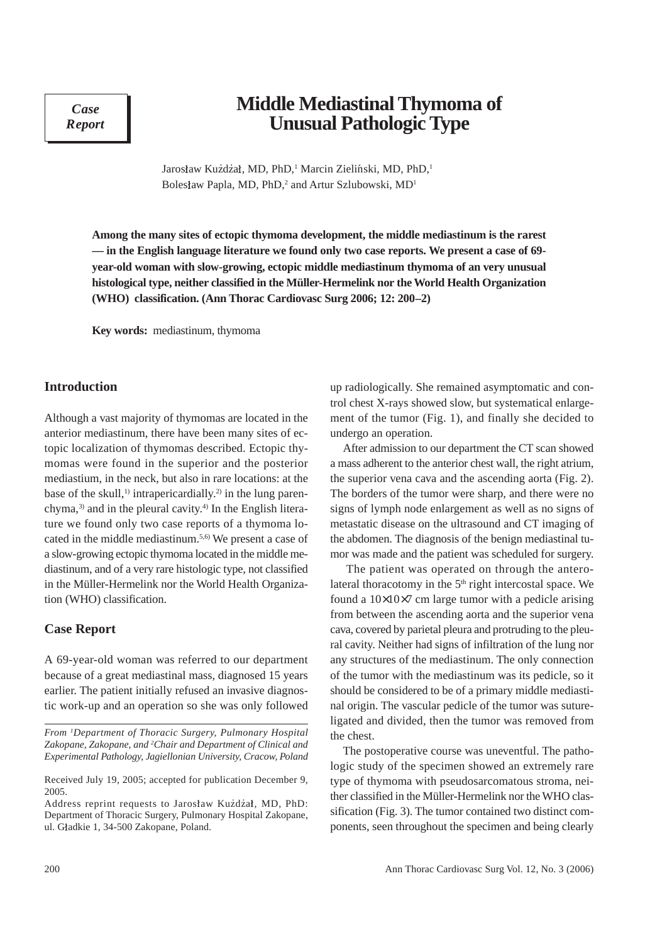*Case Report*

# **Middle Mediastinal Thymoma of Unusual Pathologic Type**

Jarosław Kużdżał, MD, PhD,<sup>1</sup> Marcin Zieliński, MD, PhD,<sup>1</sup> Bolesław Papla, MD, PhD,<sup>2</sup> and Artur Szlubowski, MD<sup>1</sup>

**Among the many sites of ectopic thymoma development, the middle mediastinum is the rarest — in the English language literature we found only two case reports. We present a case of 69 year-old woman with slow-growing, ectopic middle mediastinum thymoma of an very unusual histological type, neither classified in the Müller-Hermelink nor the World Health Organization (WHO) classification. (Ann Thorac Cardiovasc Surg 2006; 12: 200–2)**

**Key words:** mediastinum, thymoma

### **Introduction**

Although a vast majority of thymomas are located in the anterior mediastinum, there have been many sites of ectopic localization of thymomas described. Ectopic thymomas were found in the superior and the posterior mediastium, in the neck, but also in rare locations: at the base of the skull,<sup>1)</sup> intrapericardially.<sup>2)</sup> in the lung parenchyma,3) and in the pleural cavity.4) In the English literature we found only two case reports of a thymoma located in the middle mediastinum.5,6) We present a case of a slow-growing ectopic thymoma located in the middle mediastinum, and of a very rare histologic type, not classified in the Müller-Hermelink nor the World Health Organization (WHO) classification.

#### **Case Report**

A 69-year-old woman was referred to our department because of a great mediastinal mass, diagnosed 15 years earlier. The patient initially refused an invasive diagnostic work-up and an operation so she was only followed up radiologically. She remained asymptomatic and control chest X-rays showed slow, but systematical enlargement of the tumor (Fig. 1), and finally she decided to undergo an operation.

After admission to our department the CT scan showed a mass adherent to the anterior chest wall, the right atrium, the superior vena cava and the ascending aorta (Fig. 2). The borders of the tumor were sharp, and there were no signs of lymph node enlargement as well as no signs of metastatic disease on the ultrasound and CT imaging of the abdomen. The diagnosis of the benign mediastinal tumor was made and the patient was scheduled for surgery.

 The patient was operated on through the anterolateral thoracotomy in the  $5<sup>th</sup>$  right intercostal space. We found a  $10\times10\times7$  cm large tumor with a pedicle arising from between the ascending aorta and the superior vena cava, covered by parietal pleura and protruding to the pleural cavity. Neither had signs of infiltration of the lung nor any structures of the mediastinum. The only connection of the tumor with the mediastinum was its pedicle, so it should be considered to be of a primary middle mediastinal origin. The vascular pedicle of the tumor was sutureligated and divided, then the tumor was removed from the chest.

The postoperative course was uneventful. The pathologic study of the specimen showed an extremely rare type of thymoma with pseudosarcomatous stroma, neither classified in the Müller-Hermelink nor the WHO classification (Fig. 3). The tumor contained two distinct components, seen throughout the specimen and being clearly

*From 1 Department of Thoracic Surgery, Pulmonary Hospital Zakopane, Zakopane, and 2 Chair and Department of Clinical and Experimental Pathology, Jagiellonian University, Cracow, Poland*

Received July 19, 2005; accepted for publication December 9, 2005.

Address reprint requests to Jarosław Kużdżał, MD, PhD: Department of Thoracic Surgery, Pulmonary Hospital Zakopane, ul. Gładkie 1, 34-500 Zakopane, Poland.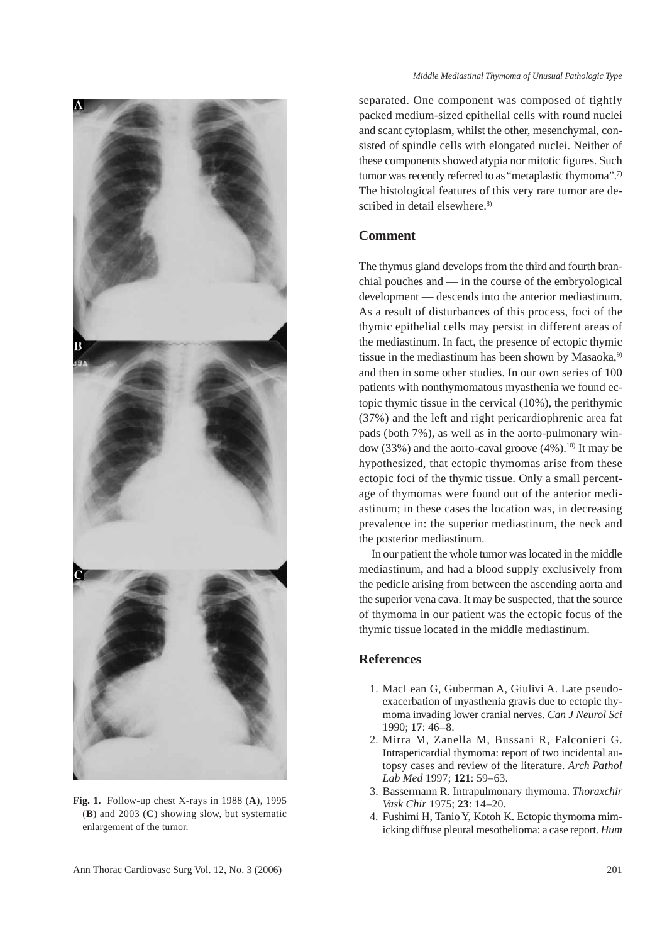

**Fig. 1.** Follow-up chest X-rays in 1988 (**A**), 1995 (**B**) and 2003 (**C**) showing slow, but systematic enlargement of the tumor.

separated. One component was composed of tightly packed medium-sized epithelial cells with round nuclei and scant cytoplasm, whilst the other, mesenchymal, consisted of spindle cells with elongated nuclei. Neither of these components showed atypia nor mitotic figures. Such tumor was recently referred to as "metaplastic thymoma".<sup>7)</sup> The histological features of this very rare tumor are described in detail elsewhere.<sup>8)</sup>

#### **Comment**

The thymus gland develops from the third and fourth branchial pouches and — in the course of the embryological development — descends into the anterior mediastinum. As a result of disturbances of this process, foci of the thymic epithelial cells may persist in different areas of the mediastinum. In fact, the presence of ectopic thymic tissue in the mediastinum has been shown by Masaoka,<sup>9)</sup> and then in some other studies. In our own series of 100 patients with nonthymomatous myasthenia we found ectopic thymic tissue in the cervical (10%), the perithymic (37%) and the left and right pericardiophrenic area fat pads (both 7%), as well as in the aorto-pulmonary window  $(33%)$  and the aorto-caval groove  $(4%)$ .<sup>10)</sup> It may be hypothesized, that ectopic thymomas arise from these ectopic foci of the thymic tissue. Only a small percentage of thymomas were found out of the anterior mediastinum; in these cases the location was, in decreasing prevalence in: the superior mediastinum, the neck and the posterior mediastinum.

In our patient the whole tumor was located in the middle mediastinum, and had a blood supply exclusively from the pedicle arising from between the ascending aorta and the superior vena cava. It may be suspected, that the source of thymoma in our patient was the ectopic focus of the thymic tissue located in the middle mediastinum.

## **References**

- 1. MacLean G, Guberman A, Giulivi A. Late pseudoexacerbation of myasthenia gravis due to ectopic thymoma invading lower cranial nerves. *Can J Neurol Sci* 1990; **17**: 46–8.
- 2. Mirra M, Zanella M, Bussani R, Falconieri G. Intrapericardial thymoma: report of two incidental autopsy cases and review of the literature. *Arch Pathol Lab Med* 1997; **121**: 59–63.
- 3. Bassermann R. Intrapulmonary thymoma. *Thoraxchir Vask Chir* 1975; **23**: 14–20.
- 4. Fushimi H, Tanio Y, Kotoh K. Ectopic thymoma mimicking diffuse pleural mesothelioma: a case report. *Hum*